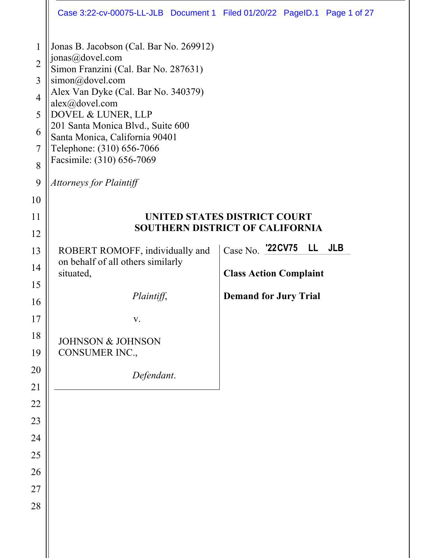|                                                                                | Case 3:22-cv-00075-LL-JLB Document 1 Filed 01/20/22 PageID.1 Page 1 of 27                                                                                                                                                                                                                                                                                               |                                        |
|--------------------------------------------------------------------------------|-------------------------------------------------------------------------------------------------------------------------------------------------------------------------------------------------------------------------------------------------------------------------------------------------------------------------------------------------------------------------|----------------------------------------|
| $\mathbf{1}$<br>$\overline{2}$<br>3<br>$\overline{4}$<br>5<br>6<br>7<br>8<br>9 | Jonas B. Jacobson (Cal. Bar No. 269912)<br>jonas@dovel.com<br>Simon Franzini (Cal. Bar No. 287631)<br>simon@dovel.com<br>Alex Van Dyke (Cal. Bar No. 340379)<br>alex@dovel.com<br>DOVEL & LUNER, LLP<br>201 Santa Monica Blvd., Suite 600<br>Santa Monica, California 90401<br>Telephone: (310) 656-7066<br>Facsimile: (310) 656-7069<br><b>Attorneys for Plaintiff</b> |                                        |
| 10                                                                             |                                                                                                                                                                                                                                                                                                                                                                         |                                        |
| 11                                                                             |                                                                                                                                                                                                                                                                                                                                                                         | UNITED STATES DISTRICT COURT           |
| 12                                                                             |                                                                                                                                                                                                                                                                                                                                                                         | <b>SOUTHERN DISTRICT OF CALIFORNIA</b> |
| 13                                                                             | ROBERT ROMOFF, individually and                                                                                                                                                                                                                                                                                                                                         | Case No. 22CV75<br><b>JLB</b><br>LL.   |
| 14                                                                             | on behalf of all others similarly<br>situated,                                                                                                                                                                                                                                                                                                                          | <b>Class Action Complaint</b>          |
| 15                                                                             |                                                                                                                                                                                                                                                                                                                                                                         |                                        |
| 16                                                                             | Plaintiff,                                                                                                                                                                                                                                                                                                                                                              | <b>Demand for Jury Trial</b>           |
| 17                                                                             | V.                                                                                                                                                                                                                                                                                                                                                                      |                                        |
| 18                                                                             | <b>JOHNSON &amp; JOHNSON</b>                                                                                                                                                                                                                                                                                                                                            |                                        |
| 19                                                                             | CONSUMER INC.,                                                                                                                                                                                                                                                                                                                                                          |                                        |
| 20                                                                             | Defendant.                                                                                                                                                                                                                                                                                                                                                              |                                        |
| 21                                                                             |                                                                                                                                                                                                                                                                                                                                                                         |                                        |
| 22                                                                             |                                                                                                                                                                                                                                                                                                                                                                         |                                        |
| 23<br>24                                                                       |                                                                                                                                                                                                                                                                                                                                                                         |                                        |
| 25                                                                             |                                                                                                                                                                                                                                                                                                                                                                         |                                        |
| 26                                                                             |                                                                                                                                                                                                                                                                                                                                                                         |                                        |
| 27                                                                             |                                                                                                                                                                                                                                                                                                                                                                         |                                        |
| 28                                                                             |                                                                                                                                                                                                                                                                                                                                                                         |                                        |
|                                                                                |                                                                                                                                                                                                                                                                                                                                                                         |                                        |
|                                                                                |                                                                                                                                                                                                                                                                                                                                                                         |                                        |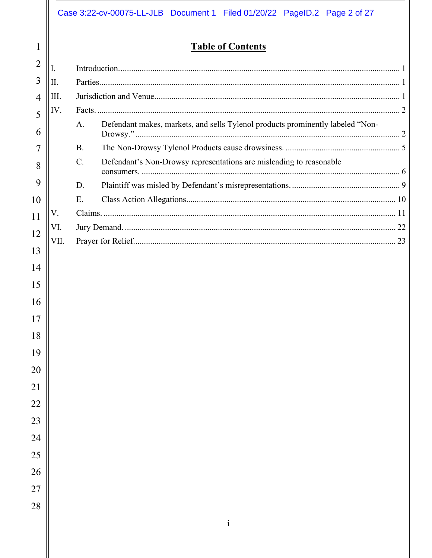# **7able of Contents**

| 1              |      |           | <b>Table of Contents</b>                                                       |  |  |
|----------------|------|-----------|--------------------------------------------------------------------------------|--|--|
| 2              | Ι.   |           |                                                                                |  |  |
| 3              | Π.   |           |                                                                                |  |  |
| $\overline{4}$ | III. |           |                                                                                |  |  |
| 5              | IV.  |           |                                                                                |  |  |
| 6              |      | A.        | Defendant makes, markets, and sells Tylenol products prominently labeled "Non- |  |  |
| 7              |      | <b>B.</b> |                                                                                |  |  |
| 8              |      | $C$ .     | Defendant's Non-Drowsy representations are misleading to reasonable            |  |  |
| 9              |      | D.        |                                                                                |  |  |
| 10             |      | E.        |                                                                                |  |  |
| 11             | V.   |           |                                                                                |  |  |
| VI.<br>12      |      |           |                                                                                |  |  |
| 13             | VII. |           |                                                                                |  |  |
| 14             |      |           |                                                                                |  |  |
|                |      |           |                                                                                |  |  |
| 15             |      |           |                                                                                |  |  |
| 16             |      |           |                                                                                |  |  |
| 17             |      |           |                                                                                |  |  |
| 18             |      |           |                                                                                |  |  |
| 19             |      |           |                                                                                |  |  |
| 20             |      |           |                                                                                |  |  |
| 21             |      |           |                                                                                |  |  |
| 22             |      |           |                                                                                |  |  |
| 23             |      |           |                                                                                |  |  |
| 24             |      |           |                                                                                |  |  |
|                |      |           |                                                                                |  |  |
| 25             |      |           |                                                                                |  |  |
| 26             |      |           |                                                                                |  |  |
| 27             |      |           |                                                                                |  |  |
| 28             |      |           |                                                                                |  |  |
|                |      |           |                                                                                |  |  |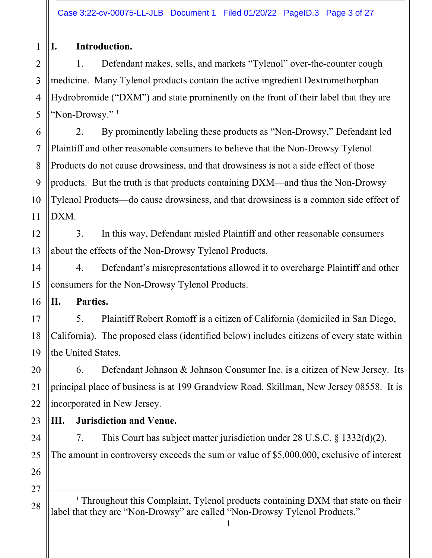$\mathbf{1}$ 

I.

# Introduction.

Defendant makes, sells, and markets "Tylenol" over-the-counter cough  $1<sub>1</sub>$  $\overline{2}$ medicine. Many Tylenol products contain the active ingredient Dextromethorphan 3  $\overline{4}$ Hydrobromide ("DXM") and state prominently on the front of their label that they are 5 "Non-Drowsv." $1$ 

By prominently labeling these products as "Non-Drowsy," Defendant led 2. 6  $\overline{7}$ Plaintiff and other reasonable consumers to believe that the Non-Drowsy Tylenol Products do not cause drowsiness, and that drowsiness is not a side effect of those 8 9 products. But the truth is that products containing DXM—and thus the Non-Drowsy Tylenol Products—do cause drowsiness, and that drowsiness is a common side effect of 10 DXM. 11

 $\overline{3}$ . In this way, Defendant misled Plaintiff and other reasonable consumers 12 about the effects of the Non-Drowsy Tylenol Products. 13

4. Defendant's misrepresentations allowed it to overcharge Plaintiff and other consumers for the Non-Drowsy Tylenol Products.

П. Parties.

5. Plaintiff Robert Romoff is a citizen of California (domiciled in San Diego, California). The proposed class (identified below) includes citizens of every state within the United States.

Defendant Johnson & Johnson Consumer Inc. is a citizen of New Jersey. Its 6. principal place of business is at 199 Grandview Road, Skillman, New Jersey 08558. It is incorporated in New Jersey.

III. **Jurisdiction and Venue.** 

7. This Court has subject matter jurisdiction under  $28 \text{ U.S.C. }$  \$1332(d)(2). The amount in controversy exceeds the sum or value of \$5,000,000, exclusive of interest

<sup>1</sup> Throughout this Complaint, Tylenol products containing DXM that state on their label that they are "Non-Drowsy" are called "Non-Drowsy Tylenol Products."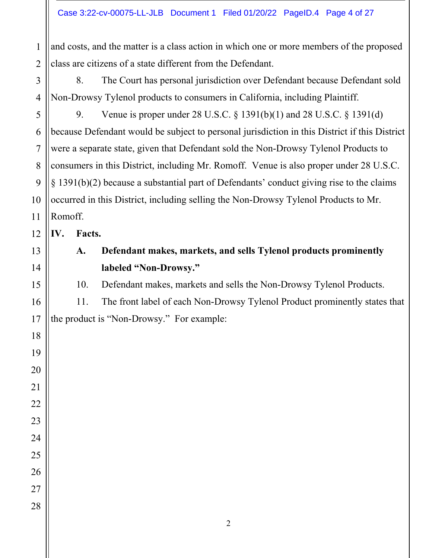and costs, and the matter is a class action in which one or more members of the proposed  $\mathbf{1}$ class are citizens of a state different from the Defendant.  $\overline{2}$ 

 $\overline{3}$ 8. The Court has personal jurisdiction over Defendant because Defendant sold Non-Drowsy Tylenol products to consumers in California, including Plaintiff.  $\overline{4}$ 

5 9. Venue is proper under 28 U.S.C.  $\S 1391(b)(1)$  and 28 U.S.C.  $\S 1391(d)$ because Defendant would be subject to personal jurisdiction in this District if this District 6 were a separate state, given that Defendant sold the Non-Drowsy Tylenol Products to consumers in this District, including Mr. Romoff. Venue is also proper under 28 U.S.C.  $\S$  1391(b)(2) because a substantial part of Defendants' conduct giving rise to the claims occurred in this District, including selling the Non-Drowsy Tylenol Products to Mr. Romoff.

IV. Facts.

> Defendant makes, markets, and sells Tylenol products prominently A. labeled "Non-Drowsy."

> 10. Defendant makes, markets and sells the Non-Drowsy Tylenol Products.

11. The front label of each Non-Drowsy Tylenol Product prominently states that the product is "Non-Drowsy." For example: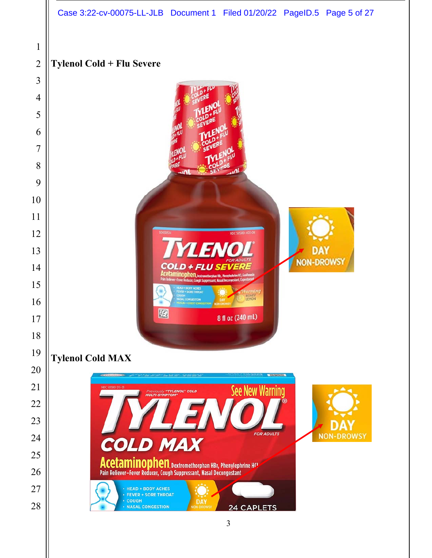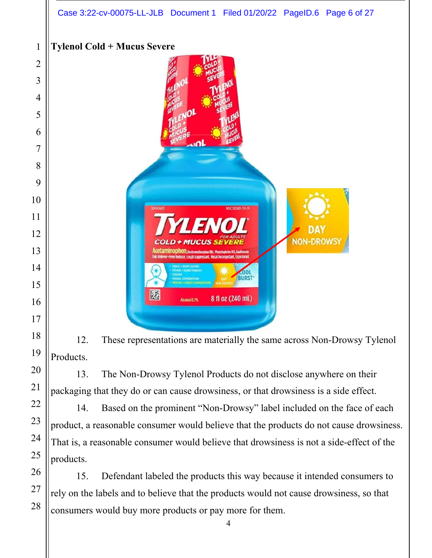# **Tylenol Cold + Mucus Severe**



12. These representations are materially the same across Non-Drowsy Tylenol Products.

13. The Non-Drowsy Tylenol Products do not disclose anywhere on their packaging that they do or can cause drowsiness, or that drowsiness is a side effect.

14. Based on the prominent "Non-Drowsy" label included on the face of each product, a reasonable consumer would believe that the products do not cause drowsiness. That is, a reasonable consumer would believe that drowsiness is not a side-effect of the products.

15. Defendant labeled the products this way because it intended consumers to rely on the labels and to believe that the products would not cause drowsiness, so that consumers would buy more products or pay more for them.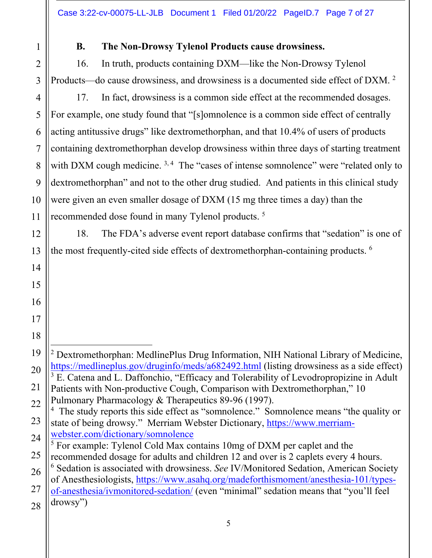$\mathbf{1}$  $\overline{2}$ 3

 $\overline{4}$ 

5

6

 $\overline{7}$ 

8

9

10

11

### **B.** The Non-Drowsy Tylenol Products cause drowsiness.

In truth, products containing DXM—like the Non-Drowsy Tylenol 16. Products—do cause drowsiness, and drowsiness is a documented side effect of DXM.<sup>2</sup>

17. In fact, drowsiness is a common side effect at the recommended dosages. For example, one study found that "[s]omnolence is a common side effect of centrally acting antitussive drugs" like dextromethorphan, and that 10.4% of users of products containing dextromethorphan develop drowsiness within three days of starting treatment with DXM cough medicine.  $3,4$  The "cases of intense sommolence" were "related only to dextromethorphan" and not to the other drug studied. And patients in this clinical study were given an even smaller dosage of DXM (15 mg three times a day) than the recommended dose found in many Tylenol products.<sup>5</sup>

18. The FDA's adverse event report database confirms that "sedation" is one of the most frequently-cited side effects of dextromethorphan-containing products. <sup>6</sup>

<sup>2</sup> Dextromethorphan: MedlinePlus Drug Information, NIH National Library of Medicine, https://medlineplus.gov/druginfo/meds/a682492.html (listing drowsiness as a side effect) <sup>3</sup> E. Catena and L. Daffonchio, "Efficacy and Tolerability of Levodropropizine in Adult Patients with Non-productive Cough, Comparison with Dextromethorphan," 10 Pulmonary Pharmacology & Therapeutics 89-96 (1997). <sup>4</sup> The study reports this side effect as "somnolence." Somnolence means "the quality or state of being drowsy." Merriam Webster Dictionary, https://www.merriamwebster.com/dictionary/somnolence <sup>5</sup> For example: Tylenol Cold Max contains 10mg of DXM per caplet and the recommended dosage for adults and children 12 and over is 2 caplets every 4 hours. <sup>6</sup> Sedation is associated with drowsiness. See IV/Monitored Sedation, American Society of Anesthesiologists, https://www.asahq.org/madeforthismoment/anesthesia-101/typesof-anesthesia/ivmonitored-sedation/ (even "minimal" sedation means that "you'll feel drowsy")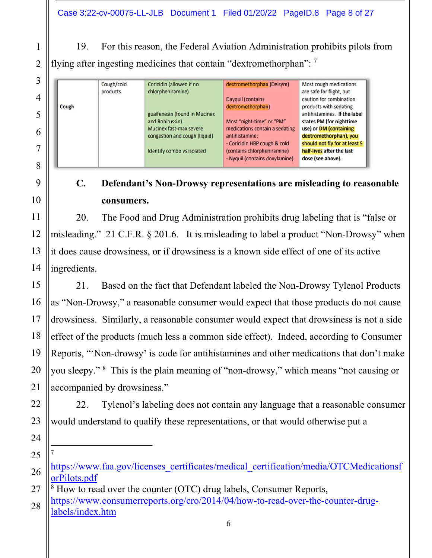19. For this reason, the Federal Aviation Administration prohibits pilots from flying after ingesting medicines that contain "dextromethorphan": 7

|       | Cough/cold | Coricidin (allowed if no      | dextromethorphan (Delsym)      | Most cough medications        |
|-------|------------|-------------------------------|--------------------------------|-------------------------------|
|       | products   | chlorpheniramine)             |                                | are safe for flight, but      |
|       |            |                               | Dayquil (contains              | caution for combination       |
| Cough |            |                               | dextromethorphan)              | products with sedating        |
|       |            | guaifenesin (found in Mucinex |                                | antihistamines. If the label  |
|       |            | and Robitussin)               | Most "night-time" or "PM"      | states PM (for nighttime      |
|       |            | Mucinex fast-max severe       | medications contain a sedating | use) or DM (containing        |
|       |            | congestion and cough (liquid) | antihistamine:                 | dextromethorphan), you        |
|       |            |                               | - Coricidin HBP cough & cold   | should not fly for at least 5 |
|       |            | Identify combo vs isolated    | (contains chlorpheniramine)    | half-lives after the last     |
|       |            |                               | - Nyquil (contains doxylamine) | dose (see above).             |

### $\mathbf{C}$ . Defendant's Non-Drowsy representations are misleading to reasonable consumers.

20. The Food and Drug Administration prohibits drug labeling that is "false or misleading." 21 C.F.R. § 201.6. It is misleading to label a product "Non-Drowsy" when it does cause drowsiness, or if drowsiness is a known side effect of one of its active ingredients.

21. Based on the fact that Defendant labeled the Non-Drowsy Tylenol Products as "Non-Drowsy," a reasonable consumer would expect that those products do not cause drowsiness. Similarly, a reasonable consumer would expect that drowsiness is not a side effect of the products (much less a common side effect). Indeed, according to Consumer Reports, "Non-drowsy' is code for antihistamines and other medications that don't make you sleepy." <sup>8</sup> This is the plain meaning of "non-drowsy," which means "not causing or accompanied by drowsiness."

22. Tylenol's labeling does not contain any language that a reasonable consumer would understand to qualify these representations, or that would otherwise put a

https://www.faa.gov/licenses\_certificates/medical\_certification/media/OTCMedicationsf orPilots.pdf

<sup>&</sup>lt;sup>8</sup> How to read over the counter (OTC) drug labels, Consumer Reports, https://www.consumerreports.org/cro/2014/04/how-to-read-over-the-counter-druglabels/index.htm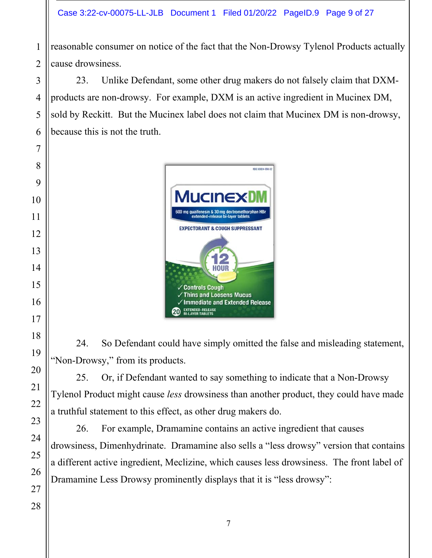reasonable consumer on notice of the fact that the Non-Drowsy Tylenol Products actually cause drowsiness.

23. Unlike Defendant, some other drug makers do not falsely claim that DXMproducts are non-drowsy. For example, DXM is an active ingredient in Mucinex DM, sold by Reckitt. But the Mucinex label does not claim that Mucinex DM is non-drowsy, because this is not the truth.



So Defendant could have simply omitted the false and misleading statement, 24. "Non-Drowsy," from its products.

25. Or, if Defendant wanted to say something to indicate that a Non-Drowsy Tylenol Product might cause less drowsiness than another product, they could have made a truthful statement to this effect, as other drug makers do.

26. For example, Dramamine contains an active ingredient that causes drowsiness, Dimenhydrinate. Dramamine also sells a "less drowsy" version that contains a different active ingredient, Meclizine, which causes less drowsiness. The front label of Dramamine Less Drowsy prominently displays that it is "less drowsy":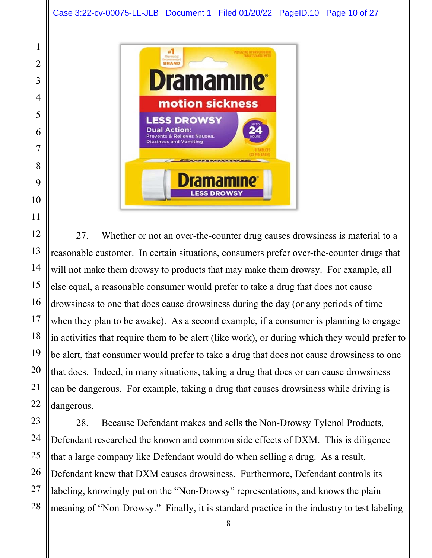

27. Whether or not an over-the-counter drug causes drowsiness is material to a reasonable customer. In certain situations, consumers prefer over-the-counter drugs that will not make them drowsy to products that may make them drowsy. For example, all else equal, a reasonable consumer would prefer to take a drug that does not cause drowsiness to one that does cause drowsiness during the day (or any periods of time when they plan to be awake). As a second example, if a consumer is planning to engage in activities that require them to be alert (like work), or during which they would prefer to be alert, that consumer would prefer to take a drug that does not cause drowsiness to one that does. Indeed, in many situations, taking a drug that does or can cause drowsiness can be dangerous. For example, taking a drug that causes drowsiness while driving is dangerous.

28. Because Defendant makes and sells the Non-Drowsy Tylenol Products, Defendant researched the known and common side effects of DXM. This is diligence that a large company like Defendant would do when selling a drug. As a result, Defendant knew that DXM causes drowsiness. Furthermore, Defendant controls its labeling, knowingly put on the "Non-Drowsy" representations, and knows the plain meaning of "Non-Drowsy." Finally, it is standard practice in the industry to test labeling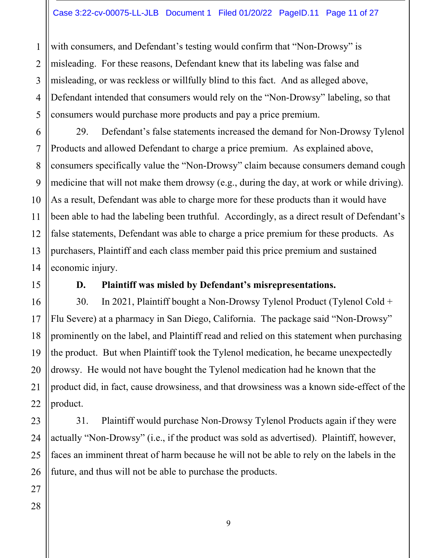with consumers, and Defendant's testing would confirm that "Non-Drowsy" is  $\mathbf{1}$ misleading. For these reasons, Defendant knew that its labeling was false and  $\overline{2}$ misleading, or was reckless or willfully blind to this fact. And as alleged above, 3 Defendant intended that consumers would rely on the "Non-Drowsy" labeling, so that 4 5 consumers would purchase more products and pay a price premium.

Defendant's false statements increased the demand for Non-Drowsy Tylenol 29. Products and allowed Defendant to charge a price premium. As explained above, consumers specifically value the "Non-Drowsy" claim because consumers demand cough medicine that will not make them drowsy (e.g., during the day, at work or while driving). As a result, Defendant was able to charge more for these products than it would have been able to had the labeling been truthful. Accordingly, as a direct result of Defendant's false statements, Defendant was able to charge a price premium for these products. As purchasers, Plaintiff and each class member paid this price premium and sustained economic injury.

#### Plaintiff was misled by Defendant's misrepresentations. D.

In 2021, Plaintiff bought a Non-Drowsy Tylenol Product (Tylenol Cold + 30. Flu Severe) at a pharmacy in San Diego, California. The package said "Non-Drowsy" prominently on the label, and Plaintiff read and relied on this statement when purchasing the product. But when Plaintiff took the Tylenol medication, he became unexpectedly drowsy. He would not have bought the Tylenol medication had he known that the product did, in fact, cause drowsiness, and that drowsiness was a known side-effect of the product.

Plaintiff would purchase Non-Drowsy Tylenol Products again if they were 31. actually "Non-Drowsy" (i.e., if the product was sold as advertised). Plaintiff, however, faces an imminent threat of harm because he will not be able to rely on the labels in the future, and thus will not be able to purchase the products.

6

7

8

9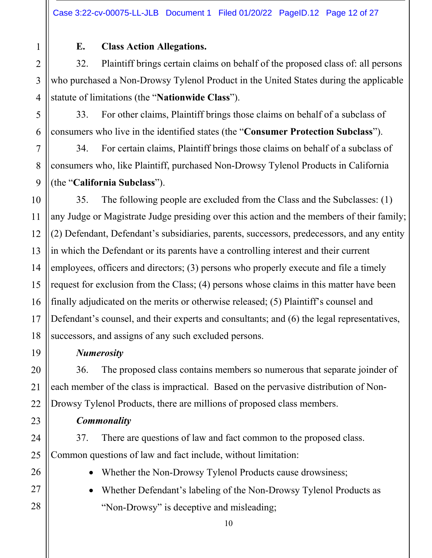$\mathbf{1}$  $\overline{2}$ 3  $\overline{\mathcal{A}}$ 5 6  $\overline{7}$ 8 9 10

19

20

21

22

23

24

25

26

27

28

#### E. **Class Action Allegations.**

32. Plaintiff brings certain claims on behalf of the proposed class of: all persons who purchased a Non-Drowsy Tylenol Product in the United States during the applicable statute of limitations (the "Nationwide Class").

For other claims, Plaintiff brings those claims on behalf of a subclass of 33. consumers who live in the identified states (the "Consumer Protection Subclass").

34. For certain claims, Plaintiff brings those claims on behalf of a subclass of consumers who, like Plaintiff, purchased Non-Drowsy Tylenol Products in California (the "California Subclass").

35. The following people are excluded from the Class and the Subclasses: (1) any Judge or Magistrate Judge presiding over this action and the members of their family; 11 (2) Defendant, Defendant's subsidiaries, parents, successors, predecessors, and any entity 12 in which the Defendant or its parents have a controlling interest and their current 13 14 employees, officers and directors; (3) persons who properly execute and file a timely request for exclusion from the Class; (4) persons whose claims in this matter have been 15 finally adjudicated on the merits or otherwise released; (5) Plaintiff's counsel and 16 Defendant's counsel, and their experts and consultants; and (6) the legal representatives, 17 18 successors, and assigns of any such excluded persons.

### **Numerosity**

The proposed class contains members so numerous that separate joinder of 36. each member of the class is impractical. Based on the pervasive distribution of Non-Drowsy Tylenol Products, there are millions of proposed class members.

**Commonality** 

37. There are questions of law and fact common to the proposed class. Common questions of law and fact include, without limitation:

- Whether the Non-Drowsy Tylenol Products cause drowsiness;
- Whether Defendant's labeling of the Non-Drowsy Tylenol Products as "Non-Drowsy" is deceptive and misleading;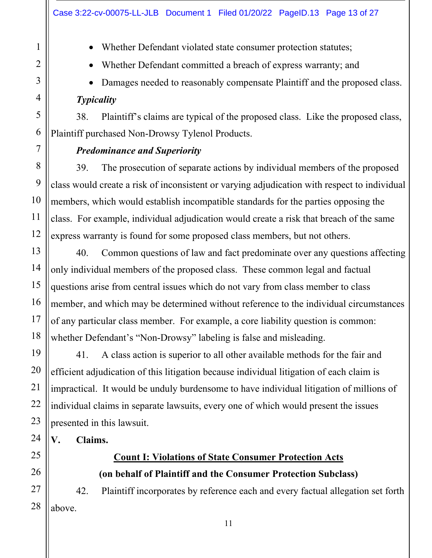• Whether Defendant violated state consumer protection statutes;

- Whether Defendant committed a breach of express warranty; and
- Damages needed to reasonably compensate Plaintiff and the proposed class. Typicality

38. Plaintiff's claims are typical of the proposed class. Like the proposed class, Plaintiff purchased Non-Drowsy Tylenol Products.

# **Predominance and Superiority**

39. The prosecution of separate actions by individual members of the proposed class would create a risk of inconsistent or varying adjudication with respect to individual members, which would establish incompatible standards for the parties opposing the class. For example, individual adjudication would create a risk that breach of the same express warranty is found for some proposed class members, but not others.

Common questions of law and fact predominate over any questions affecting 40. only individual members of the proposed class. These common legal and factual questions arise from central issues which do not vary from class member to class member, and which may be determined without reference to the individual circumstances of any particular class member. For example, a core liability question is common: whether Defendant's "Non-Drowsy" labeling is false and misleading.

A class action is superior to all other available methods for the fair and 41. efficient adjudication of this litigation because individual litigation of each claim is impractical. It would be unduly burdensome to have individual litigation of millions of individual claims in separate lawsuits, every one of which would present the issues presented in this lawsuit.

#### V. Claims.

# **Count I: Violations of State Consumer Protection Acts** (on behalf of Plaintiff and the Consumer Protection Subclass)

Plaintiff incorporates by reference each and every factual allegation set forth 42. above.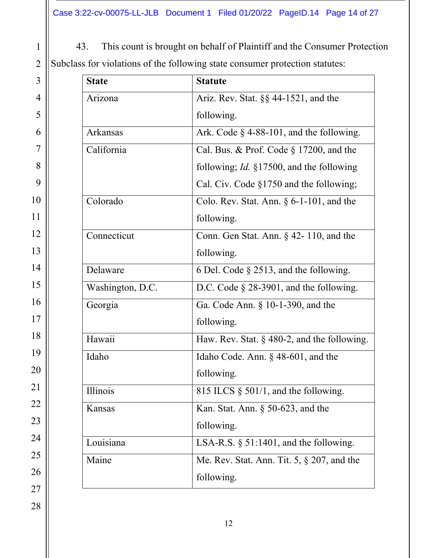| This count is brought on behalf of Plaintiff and the Consumer Protection     |
|------------------------------------------------------------------------------|
| Subclass for violations of the following state consumer protection statutes: |

| <b>State</b>     | <b>Statute</b>                                      |
|------------------|-----------------------------------------------------|
| Arizona          | Ariz. Rev. Stat. $\S$ § 44-1521, and the            |
|                  | following.                                          |
| Arkansas         | Ark. Code $\S$ 4-88-101, and the following.         |
| California       | Cal. Bus. & Prof. Code $\S$ 17200, and the          |
|                  | following; <i>Id.</i> $\S17500$ , and the following |
|                  | Cal. Civ. Code §1750 and the following;             |
| Colorado         | Colo. Rev. Stat. Ann. $\S$ 6-1-101, and the         |
|                  | following.                                          |
| Connecticut      | Conn. Gen Stat. Ann. $\S$ 42-110, and the           |
|                  | following.                                          |
| Delaware         | 6 Del. Code $\S$ 2513, and the following.           |
| Washington, D.C. | D.C. Code $\S$ 28-3901, and the following.          |
| Georgia          | Ga. Code Ann. $\S$ 10-1-390, and the                |
|                  | following.                                          |
| Hawaii           | Haw. Rev. Stat. $\S$ 480-2, and the following.      |
| Idaho            | Idaho Code. Ann. § 48-601, and the                  |
|                  | following.                                          |
| Illinois         | 815 ILCS $\S$ 501/1, and the following.             |
| Kansas           | Kan. Stat. Ann. $\S$ 50-623, and the                |
|                  | following.                                          |
| Louisiana        | LSA-R.S. $\S$ 51:1401, and the following.           |
| Maine            | Me. Rev. Stat. Ann. Tit. $5, § 207$ , and the       |
|                  | following.                                          |

 $\mathbf{1}$  $\overline{c}$  $\overline{3}$ 

 $\overline{4}$ 

 $\overline{5}$ 

 $\overline{6}$ 

 $\overline{7}$ 

 $\sqrt{8}$ 

 $10\,$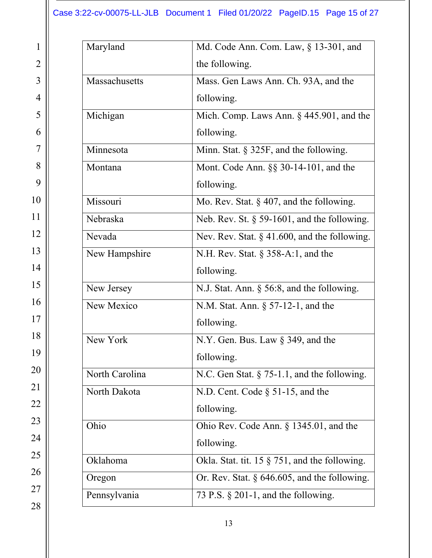| Maryland       | Md. Code Ann. Com. Law, $\S$ 13-301, and         |
|----------------|--------------------------------------------------|
|                | the following.                                   |
| Massachusetts  | Mass. Gen Laws Ann. Ch. 93A, and the             |
|                | following.                                       |
| Michigan       | Mich. Comp. Laws Ann. $\S$ 445.901, and the      |
|                | following.                                       |
| Minnesota      | Minn. Stat. § 325F, and the following.           |
| Montana        | Mont. Code Ann. $\S$ 30-14-101, and the          |
|                | following.                                       |
| Missouri       | Mo. Rev. Stat. $\S$ 407, and the following.      |
| Nebraska       | Neb. Rev. St. $\S$ 59-1601, and the following.   |
| Nevada         | Nev. Rev. Stat. $\S$ 41.600, and the following.  |
| New Hampshire  | N.H. Rev. Stat. $\S$ 358-A:1, and the            |
|                | following.                                       |
| New Jersey     | N.J. Stat. Ann. § 56:8, and the following.       |
| New Mexico     | N.M. Stat. Ann. $\S$ 57-12-1, and the            |
|                | following.                                       |
| New York       | N.Y. Gen. Bus. Law $\S$ 349, and the             |
|                | following.                                       |
| North Carolina | N.C. Gen Stat. $\S$ 75-1.1, and the following.   |
| North Dakota   | N.D. Cent. Code $\S$ 51-15, and the              |
|                | following.                                       |
| Ohio           | Ohio Rev. Code Ann. $\S$ 1345.01, and the        |
|                | following.                                       |
| Oklahoma       | Okla. Stat. tit. 15 $\S$ 751, and the following. |
| Oregon         | Or. Rev. Stat. $\S$ 646.605, and the following.  |
| Pennsylvania   | 73 P.S. $\S$ 201-1, and the following.           |
|                |                                                  |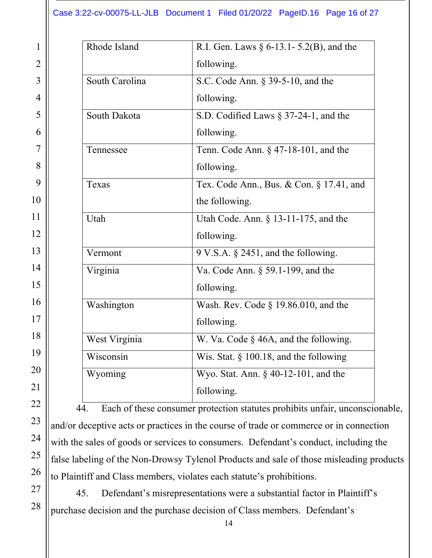| Rhode Island   | R.I. Gen. Laws $\S 6$ -13.1 - 5.2(B), and the |
|----------------|-----------------------------------------------|
|                | following.                                    |
| South Carolina | S.C. Code Ann. § 39-5-10, and the             |
|                | following.                                    |
| South Dakota   | S.D. Codified Laws $\S 37-24-1$ , and the     |
|                | following.                                    |
| Tennessee      | Tenn. Code Ann. $\S$ 47-18-101, and the       |
|                | following.                                    |
| Texas          | Tex. Code Ann., Bus. & Con. § 17.41, and      |
|                | the following.                                |
| Utah           | Utah Code. Ann. § 13-11-175, and the          |
|                | following.                                    |
| Vermont        | 9 V.S.A. § 2451, and the following.           |
| Virginia       | Va. Code Ann. § 59.1-199, and the             |
|                | following.                                    |
| Washington     | Wash. Rev. Code $\S$ 19.86.010, and the       |
|                | following.                                    |
| West Virginia  | W. Va. Code § 46A, and the following.         |
| Wisconsin      | Wis. Stat. $\S$ 100.18, and the following     |
| Wyoming        | Wyo. Stat. Ann. $\S$ 40-12-101, and the       |
|                | following.                                    |
|                |                                               |

Each of these consumer protection statutes prohibits unfair, unconscionable, 44. and/or deceptive acts or practices in the course of trade or commerce or in connection with the sales of goods or services to consumers. Defendant's conduct, including the false labeling of the Non-Drowsy Tylenol Products and sale of those misleading products to Plaintiff and Class members, violates each statute's prohibitions.

Defendant's misrepresentations were a substantial factor in Plaintiff's 45. purchase decision and the purchase decision of Class members. Defendant's

 $\mathbf{1}$ 

 $\overline{2}$ 

 $\overline{3}$ 

 $\overline{4}$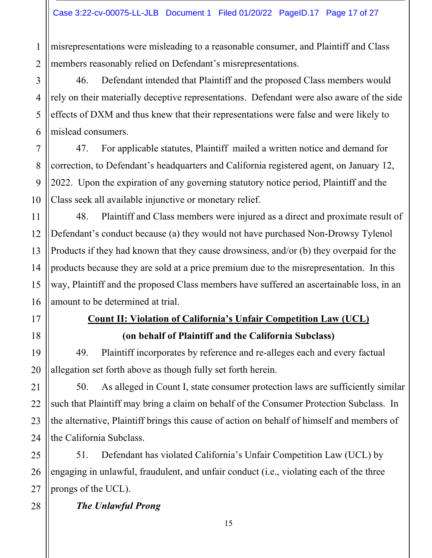misrepresentations were misleading to a reasonable consumer, and Plaintiff and Class  $\mathbf{1}$ members reasonably relied on Defendant's misrepresentations.  $\overline{2}$ 

46. Defendant intended that Plaintiff and the proposed Class members would rely on their materially deceptive representations. Defendant were also aware of the side effects of DXM and thus knew that their representations were false and were likely to mislead consumers.

For applicable statutes, Plaintiff mailed a written notice and demand for 47. correction, to Defendant's headquarters and California registered agent, on January 12, 2022. Upon the expiration of any governing statutory notice period, Plaintiff and the Class seek all available injunctive or monetary relief.

48. Plaintiff and Class members were injured as a direct and proximate result of Defendant's conduct because (a) they would not have purchased Non-Drowsy Tylenol Products if they had known that they cause drowsiness, and/or (b) they overpaid for the products because they are sold at a price premium due to the misrepresentation. In this way, Plaintiff and the proposed Class members have suffered an ascertainable loss, in an amount to be determined at trial.

# **Count II: Violation of California's Unfair Competition Law (UCL)** (on behalf of Plaintiff and the California Subclass)

49. Plaintiff incorporates by reference and re-alleges each and every factual allegation set forth above as though fully set forth herein.

50. As alleged in Count I, state consumer protection laws are sufficiently similar such that Plaintiff may bring a claim on behalf of the Consumer Protection Subclass. In the alternative, Plaintiff brings this cause of action on behalf of himself and members of the California Subclass.

Defendant has violated California's Unfair Competition Law (UCL) by 51. engaging in unlawful, fraudulent, and unfair conduct (i.e., violating each of the three prongs of the UCL).

**The Unlawful Prong** 

3

4

5

6

 $\overline{7}$ 

8

9

10

11

12

13

14

15

16

17

18

19

20

21

22

23

24

25

26

27

28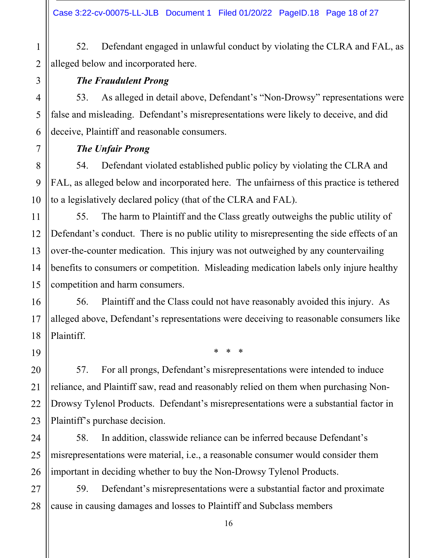Defendant engaged in unlawful conduct by violating the CLRA and FAL, as 52. alleged below and incorporated here.

# **The Fraudulent Prong**

As alleged in detail above, Defendant's "Non-Drowsy" representations were 53. false and misleading. Defendant's misrepresentations were likely to deceive, and did deceive, Plaintiff and reasonable consumers.

# **The Unfair Prong**

Defendant violated established public policy by violating the CLRA and 54. FAL, as alleged below and incorporated here. The unfairness of this practice is tethered to a legislatively declared policy (that of the CLRA and FAL).

55. The harm to Plaintiff and the Class greatly outweighs the public utility of Defendant's conduct. There is no public utility to misrepresenting the side effects of an over-the-counter medication. This injury was not outweighed by any countervailing benefits to consumers or competition. Misleading medication labels only injure healthy competition and harm consumers.

Plaintiff and the Class could not have reasonably avoided this injury. As 56. alleged above, Defendant's representations were deceiving to reasonable consumers like Plaintiff.

 $* * *$ 

57. For all prongs, Defendant's misrepresentations were intended to induce reliance, and Plaintiff saw, read and reasonably relied on them when purchasing Non-Drowsy Tylenol Products. Defendant's misrepresentations were a substantial factor in Plaintiff's purchase decision.

58. In addition, classwide reliance can be inferred because Defendant's misrepresentations were material, *i.e.*, a reasonable consumer would consider them important in deciding whether to buy the Non-Drowsy Tylenol Products.

59. Defendant's misrepresentations were a substantial factor and proximate cause in causing damages and losses to Plaintiff and Subclass members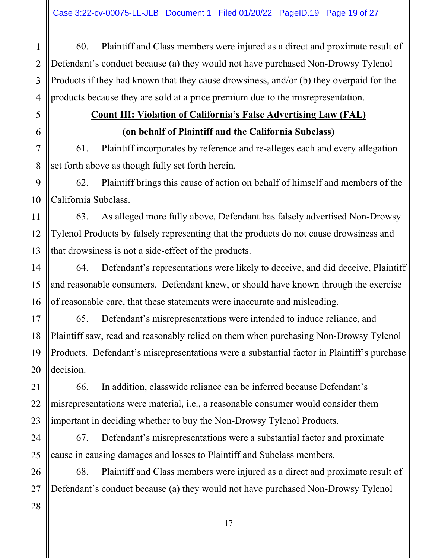Plaintiff and Class members were injured as a direct and proximate result of 60.  $\mathbf{1}$ Defendant's conduct because (a) they would not have purchased Non-Drowsy Tylenol  $\overline{2}$ Products if they had known that they cause drowsiness, and/or (b) they overpaid for the 3 products because they are sold at a price premium due to the misrepresentation. 4

# **Count III: Violation of California's False Advertising Law (FAL)** (on behalf of Plaintiff and the California Subclass)

61. Plaintiff incorporates by reference and re-alleges each and every allegation set forth above as though fully set forth herein.

Plaintiff brings this cause of action on behalf of himself and members of the 62. California Subclass.

As alleged more fully above, Defendant has falsely advertised Non-Drowsy 63. Tylenol Products by falsely representing that the products do not cause drowsiness and that drowsiness is not a side-effect of the products.

64. Defendant's representations were likely to deceive, and did deceive, Plaintiff and reasonable consumers. Defendant knew, or should have known through the exercise of reasonable care, that these statements were inaccurate and misleading.

Defendant's misrepresentations were intended to induce reliance, and 65. Plaintiff saw, read and reasonably relied on them when purchasing Non-Drowsy Tylenol Products. Defendant's misrepresentations were a substantial factor in Plaintiff's purchase decision.

66. In addition, classwide reliance can be inferred because Defendant's misrepresentations were material, i.e., a reasonable consumer would consider them important in deciding whether to buy the Non-Drowsy Tylenol Products.

67. Defendant's misrepresentations were a substantial factor and proximate cause in causing damages and losses to Plaintiff and Subclass members.

68. Plaintiff and Class members were injured as a direct and proximate result of Defendant's conduct because (a) they would not have purchased Non-Drowsy Tylenol

5

6

 $\overline{7}$ 

8

9

10

11

12

13

14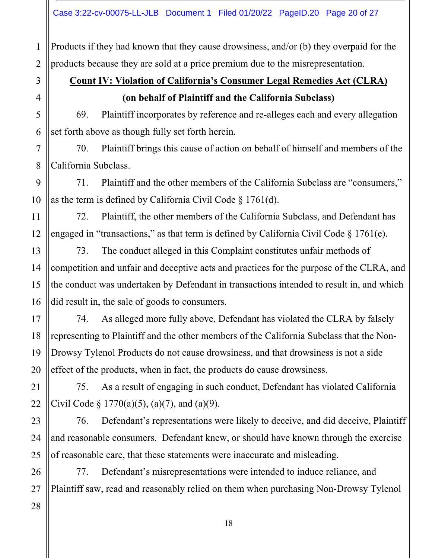Products if they had known that they cause drowsiness, and/or (b) they overpaid for the products because they are sold at a price premium due to the misrepresentation.

# **Count IV: Violation of California's Consumer Legal Remedies Act (CLRA)** (on behalf of Plaintiff and the California Subclass)

69. Plaintiff incorporates by reference and re-alleges each and every allegation set forth above as though fully set forth herein.

70. Plaintiff brings this cause of action on behalf of himself and members of the California Subclass.

Plaintiff and the other members of the California Subclass are "consumers," 71. as the term is defined by California Civil Code  $\S 1761(d)$ .

Plaintiff, the other members of the California Subclass, and Defendant has 72. engaged in "transactions," as that term is defined by California Civil Code  $\S 1761(e)$ .

The conduct alleged in this Complaint constitutes unfair methods of 73. competition and unfair and deceptive acts and practices for the purpose of the CLRA, and the conduct was undertaken by Defendant in transactions intended to result in, and which did result in, the sale of goods to consumers.

As alleged more fully above, Defendant has violated the CLRA by falsely 74. representing to Plaintiff and the other members of the California Subclass that the Non-Drowsy Tylenol Products do not cause drowsiness, and that drowsiness is not a side effect of the products, when in fact, the products do cause drowsiness.

75. As a result of engaging in such conduct, Defendant has violated California Civil Code  $\S 1770(a)(5)$ , (a)(7), and (a)(9).

Defendant's representations were likely to deceive, and did deceive, Plaintiff 76. and reasonable consumers. Defendant knew, or should have known through the exercise of reasonable care, that these statements were inaccurate and misleading.

77. Defendant's misrepresentations were intended to induce reliance, and Plaintiff saw, read and reasonably relied on them when purchasing Non-Drowsy Tylenol

 $\mathbf{1}$ 

 $\overline{2}$ 

3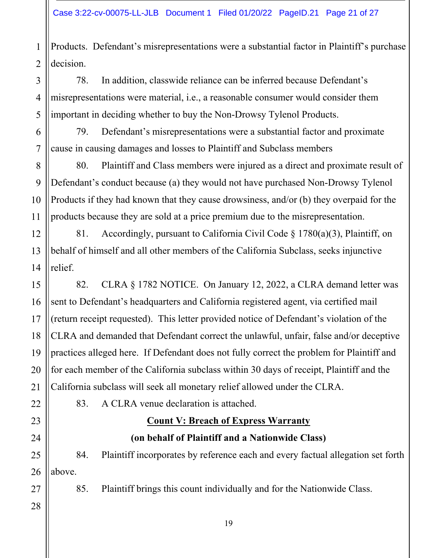Products. Defendant's misrepresentations were a substantial factor in Plaintiff's purchase  $\mathbf{1}$ decision.  $\overline{2}$ 

78. In addition, classwide reliance can be inferred because Defendant's misrepresentations were material, *i.e.*, a reasonable consumer would consider them important in deciding whether to buy the Non-Drowsy Tylenol Products.

Defendant's misrepresentations were a substantial factor and proximate 79. cause in causing damages and losses to Plaintiff and Subclass members

Plaintiff and Class members were injured as a direct and proximate result of 80. Defendant's conduct because (a) they would not have purchased Non-Drowsy Tylenol Products if they had known that they cause drowsiness, and/or (b) they overpaid for the products because they are sold at a price premium due to the misrepresentation.

Accordingly, pursuant to California Civil Code  $\S$  1780(a)(3), Plaintiff, on 12 81. behalf of himself and all other members of the California Subclass, seeks injunctive 14 relief.

CLRA § 1782 NOTICE. On January 12, 2022, a CLRA demand letter was 82. 15 sent to Defendant's headquarters and California registered agent, via certified mail 16 (return receipt requested). This letter provided notice of Defendant's violation of the 17 18 CLRA and demanded that Defendant correct the unlawful, unfair, false and/or deceptive practices alleged here. If Defendant does not fully correct the problem for Plaintiff and 19 for each member of the California subclass within 30 days of receipt, Plaintiff and the 20 21 California subclass will seek all monetary relief allowed under the CLRA.

83. A CLRA venue declaration is attached.

# **Count V: Breach of Express Warranty**

# (on behalf of Plaintiff and a Nationwide Class)

Plaintiff incorporates by reference each and every factual allegation set forth 25 84. above.

> Plaintiff brings this count individually and for the Nationwide Class. 85.

26 27 28

22

23

24

3

4

5

6

7

8

9

10

11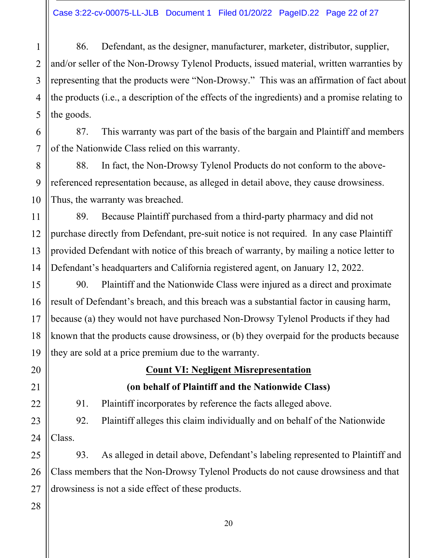86. Defendant, as the designer, manufacturer, marketer, distributor, supplier,  $\mathbf{1}$ and/or seller of the Non-Drowsy Tylenol Products, issued material, written warranties by  $\overline{2}$ representing that the products were "Non-Drowsy." This was an affirmation of fact about 3 the products (i.e., a description of the effects of the ingredients) and a promise relating to 4 5 the goods.

87. This warranty was part of the basis of the bargain and Plaintiff and members of the Nationwide Class relied on this warranty.

In fact, the Non-Drowsy Tylenol Products do not conform to the above-88. referenced representation because, as alleged in detail above, they cause drowsiness. Thus, the warranty was breached.

Because Plaintiff purchased from a third-party pharmacy and did not 11 89. purchase directly from Defendant, pre-suit notice is not required. In any case Plaintiff 12 provided Defendant with notice of this breach of warranty, by mailing a notice letter to 13 14 Defendant's headquarters and California registered agent, on January 12, 2022.

Plaintiff and the Nationwide Class were injured as a direct and proximate 15 90. 16 result of Defendant's breach, and this breach was a substantial factor in causing harm, because (a) they would not have purchased Non-Drowsy Tylenol Products if they had 17 18 known that the products cause drowsiness, or (b) they overpaid for the products because 19 they are sold at a price premium due to the warranty.

> **Count VI: Negligent Misrepresentation** (on behalf of Plaintiff and the Nationwide Class)

Plaintiff incorporates by reference the facts alleged above. 91.

92. Plaintiff alleges this claim individually and on behalf of the Nationwide Class.

93. As alleged in detail above, Defendant's labeling represented to Plaintiff and Class members that the Non-Drowsy Tylenol Products do not cause drowsiness and that drowsiness is not a side effect of these products.

28

20

21

22

23

6

7

8

9

10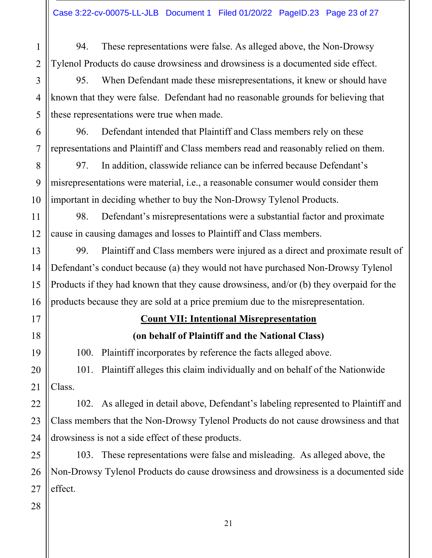These representations were false. As alleged above, the Non-Drowsy 94.  $\mathbf{1}$ Tylenol Products do cause drowsiness and drowsiness is a documented side effect.  $\overline{2}$ 

95. 3 When Defendant made these misrepresentations, it knew or should have known that they were false. Defendant had no reasonable grounds for believing that 4 5 these representations were true when made.

Defendant intended that Plaintiff and Class members rely on these 96. representations and Plaintiff and Class members read and reasonably relied on them.

In addition, classwide reliance can be inferred because Defendant's 97. misrepresentations were material, *i.e.*, a reasonable consumer would consider them important in deciding whether to buy the Non-Drowsy Tylenol Products.

11 98. Defendant's misrepresentations were a substantial factor and proximate cause in causing damages and losses to Plaintiff and Class members. 12

Plaintiff and Class members were injured as a direct and proximate result of 99. 14 Defendant's conduct because (a) they would not have purchased Non-Drowsy Tylenol Products if they had known that they cause drowsiness, and/or (b) they overpaid for the 16 products because they are sold at a price premium due to the misrepresentation.

# **Count VII: Intentional Misrepresentation**

# (on behalf of Plaintiff and the National Class)

100. Plaint if incorporates by reference the facts alleged above.

101. Plaintiff alleges this claim individually and on behalf of the Nationwide 20 Class. 21

102. As alleged in detail above, Defendant's labeling represented to Plaintiff and Class members that the Non-Drowsy Tylenol Products do not cause drowsiness and that drowsiness is not a side effect of these products.

103. These representations were false and misleading. As alleged above, the Non-Drowsy Tylenol Products do cause drowsiness and drowsiness is a documented side effect.

6

7

8

9

10

13

15

17

18

19

22

23

24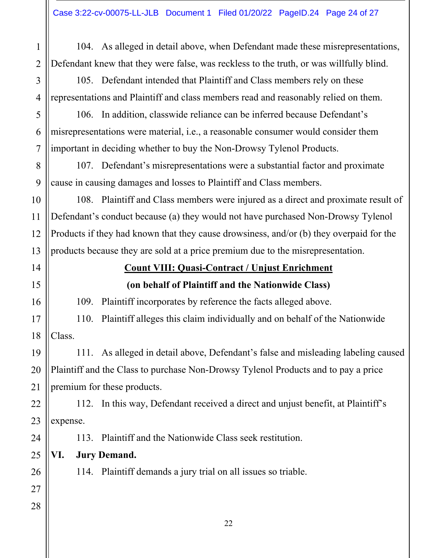| $\mathbf{1}$   | 104. As alleged in detail above, when Defendant made these misrepresentations,          |                                                                                         |  |  |  |
|----------------|-----------------------------------------------------------------------------------------|-----------------------------------------------------------------------------------------|--|--|--|
| $\overline{2}$ | Defendant knew that they were false, was reckless to the truth, or was willfully blind. |                                                                                         |  |  |  |
| $\overline{3}$ | 105. Defendant intended that Plaintiff and Class members rely on these                  |                                                                                         |  |  |  |
| $\overline{4}$ |                                                                                         | representations and Plaintiff and class members read and reasonably relied on them.     |  |  |  |
| 5              | 106. In addition, classwide reliance can be inferred because Defendant's                |                                                                                         |  |  |  |
| 6              |                                                                                         | misrepresentations were material, i.e., a reasonable consumer would consider them       |  |  |  |
| 7              | important in deciding whether to buy the Non-Drowsy Tylenol Products.                   |                                                                                         |  |  |  |
| 8              | 107. Defendant's misrepresentations were a substantial factor and proximate             |                                                                                         |  |  |  |
| 9              | cause in causing damages and losses to Plaintiff and Class members.                     |                                                                                         |  |  |  |
| 10             | 108. Plaintiff and Class members were injured as a direct and proximate result of       |                                                                                         |  |  |  |
| 11             | Defendant's conduct because (a) they would not have purchased Non-Drowsy Tylenol        |                                                                                         |  |  |  |
| 12             |                                                                                         | Products if they had known that they cause drowsiness, and/or (b) they overpaid for the |  |  |  |
| 13             | products because they are sold at a price premium due to the misrepresentation.         |                                                                                         |  |  |  |
| 14             | <b>Count VIII: Quasi-Contract / Unjust Enrichment</b>                                   |                                                                                         |  |  |  |
| 15             | (on behalf of Plaintiff and the Nationwide Class)                                       |                                                                                         |  |  |  |
| 16             | Plaintiff incorporates by reference the facts alleged above.<br>109.                    |                                                                                         |  |  |  |
|                |                                                                                         |                                                                                         |  |  |  |
|                | Plaintiff alleges this claim individually and on behalf of the Nationwide<br>110.<br>17 |                                                                                         |  |  |  |
| 18             | Class.                                                                                  |                                                                                         |  |  |  |
| 19             | 111. As alleged in detail above, Defendant's false and misleading labeling caused       |                                                                                         |  |  |  |
| 20             | Plaintiff and the Class to purchase Non-Drowsy Tylenol Products and to pay a price      |                                                                                         |  |  |  |
| 21             | premium for these products.                                                             |                                                                                         |  |  |  |
| 22             | 112. In this way, Defendant received a direct and unjust benefit, at Plaintiff's        |                                                                                         |  |  |  |
| 23             | expense.                                                                                |                                                                                         |  |  |  |
| 24             | Plaintiff and the Nationwide Class seek restitution.<br>113.                            |                                                                                         |  |  |  |
| 25             | VI.<br><b>Jury Demand.</b>                                                              |                                                                                         |  |  |  |
| 26             | 114. Plaintiff demands a jury trial on all issues so triable.                           |                                                                                         |  |  |  |